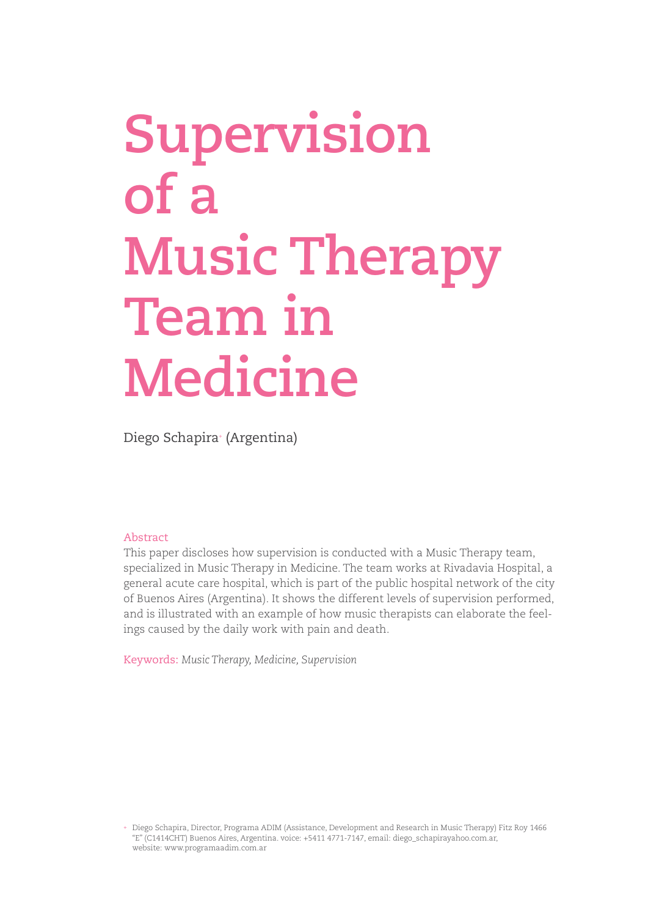# **Supervision of a Music Therapy Team in Medicine**

Diego Schapira<sup>.</sup> (Argentina)

# Abstract

This paper discloses how supervision is conducted with a Music Therapy team, specialized in Music Therapy in Medicine. The team works at Rivadavia Hospital, a general acute care hospital, which is part of the public hospital network of the city of Buenos Aires (Argentina). It shows the different levels of supervision performed, and is illustrated with an example of how music therapists can elaborate the feelings caused by the daily work with pain and death.

Keywords: Music Therapy, Medicine, Supervision

+ Diego Schapira, Director, Programa ADIM (Assistance, Development and Research in Music Therapy) Fitz Roy 1466 "E" (C1414CHT) Buenos Aires, Argentina. voice: +5411 4771-7147, email: diego\_schapirayahoo.com.ar, website: www.programaadim.com.ar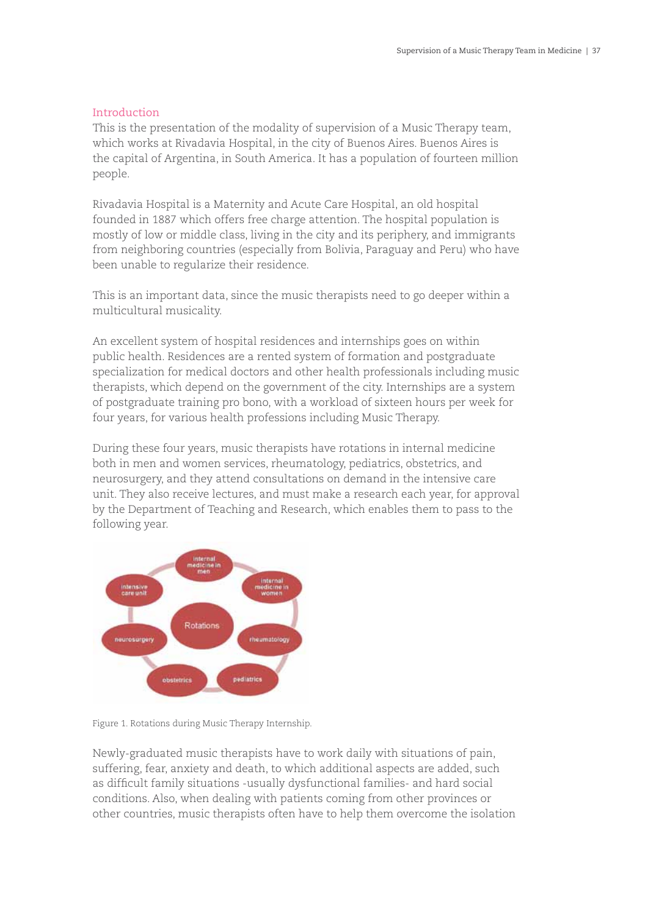## Introduction

This is the presentation of the modality of supervision of a Music Therapy team, which works at Rivadavia Hospital, in the city of Buenos Aires. Buenos Aires is the capital of Argentina, in South America. It has a population of fourteen million people.

Rivadavia Hospital is a Maternity and Acute Care Hospital, an old hospital founded in 1887 which offers free charge attention. The hospital population is mostly of low or middle class, living in the city and its periphery, and immigrants from neighboring countries (especially from Bolivia, Paraguay and Peru) who have been unable to regularize their residence.

This is an important data, since the music therapists need to go deeper within a multicultural musicality.

An excellent system of hospital residences and internships goes on within public health. Residences are a rented system of formation and postgraduate specialization for medical doctors and other health professionals including music therapists, which depend on the government of the city. Internships are a system of postgraduate training pro bono, with a workload of sixteen hours per week for four years, for various health professions including Music Therapy.

During these four years, music therapists have rotations in internal medicine both in men and women services, rheumatology, pediatrics, obstetrics, and neurosurgery, and they attend consultations on demand in the intensive care unit. They also receive lectures, and must make a research each year, for approval by the Department of Teaching and Research, which enables them to pass to the following year.



Figure 1. Rotations during Music Therapy Internship.

Newly-graduated music therapists have to work daily with situations of pain, suffering, fear, anxiety and death, to which additional aspects are added, such as difficult family situations -usually dysfunctional families- and hard social conditions. Also, when dealing with patients coming from other provinces or other countries, music therapists often have to help them overcome the isolation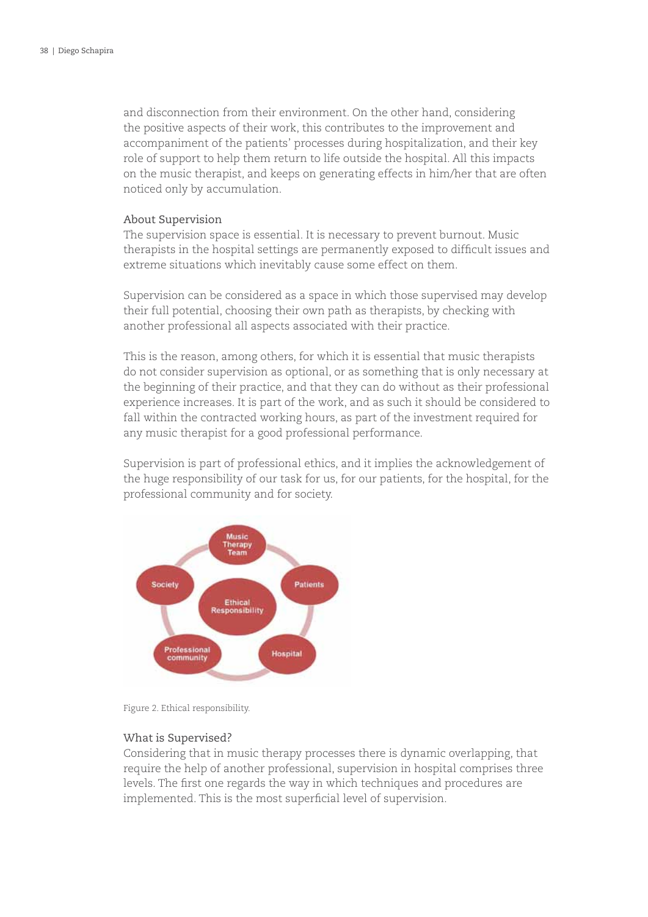and disconnection from their environment. On the other hand, considering the positive aspects of their work, this contributes to the improvement and accompaniment of the patients' processes during hospitalization, and their key role of support to help them return to life outside the hospital. All this impacts on the music therapist, and keeps on generating effects in him/her that are often noticed only by accumulation.

## About Supervision

The supervision space is essential. It is necessary to prevent burnout. Music therapists in the hospital settings are permanently exposed to difficult issues and extreme situations which inevitably cause some effect on them.

Supervision can be considered as a space in which those supervised may develop their full potential, choosing their own path as therapists, by checking with another professional all aspects associated with their practice.

This is the reason, among others, for which it is essential that music therapists do not consider supervision as optional, or as something that is only necessary at the beginning of their practice, and that they can do without as their professional experience increases. It is part of the work, and as such it should be considered to fall within the contracted working hours, as part of the investment required for any music therapist for a good professional performance.

Supervision is part of professional ethics, and it implies the acknowledgement of the huge responsibility of our task for us, for our patients, for the hospital, for the professional community and for society.



Figure 2. Ethical responsibility.

## What is Supervised?

Considering that in music therapy processes there is dynamic overlapping, that require the help of another professional, supervision in hospital comprises three levels. The first one regards the way in which techniques and procedures are implemented. This is the most superficial level of supervision.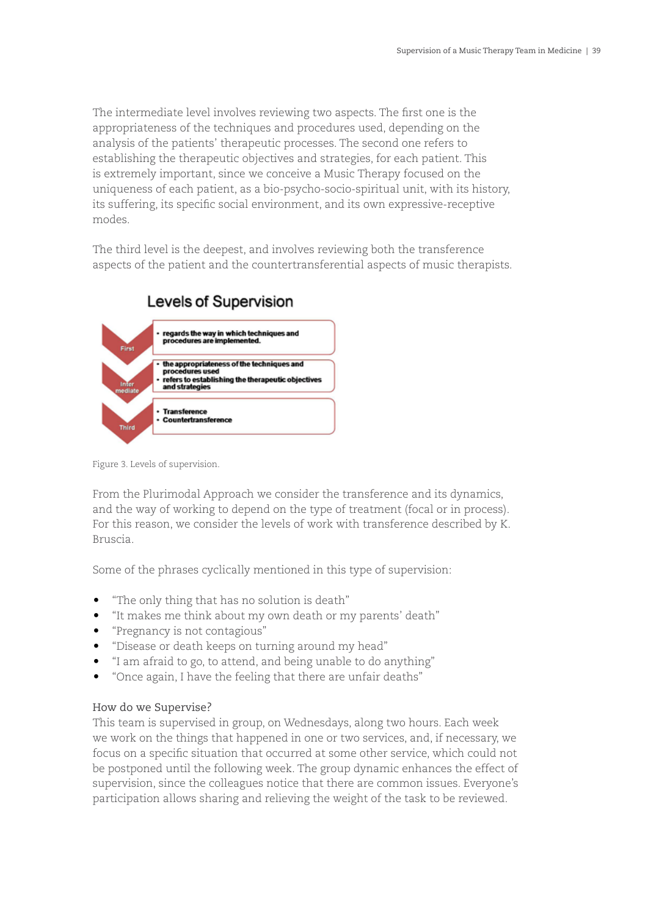The intermediate level involves reviewing two aspects. The first one is the appropriateness of the techniques and procedures used, depending on the analysis of the patients' therapeutic processes. The second one refers to establishing the therapeutic objectives and strategies, for each patient. This is extremely important, since we conceive a Music Therapy focused on the uniqueness of each patient, as a bio-psycho-socio-spiritual unit, with its history, its suffering, its specific social environment, and its own expressive-receptive modes.

The third level is the deepest, and involves reviewing both the transference aspects of the patient and the countertransferential aspects of music therapists.



# Levels of Supervision

Figure 3. Levels of supervision.

From the Plurimodal Approach we consider the transference and its dynamics, and the way of working to depend on the type of treatment (focal or in process). For this reason, we consider the levels of work with transference described by K. Bruscia.

Some of the phrases cyclically mentioned in this type of supervision:

- "The only thing that has no solution is death"
- "It makes me think about my own death or my parents' death"
- "Pregnancy is not contagious"
- "Disease or death keeps on turning around my head"
- "I am afraid to go, to attend, and being unable to do anything"
- "Once again, I have the feeling that there are unfair deaths"

# How do we Supervise?

This team is supervised in group, on Wednesdays, along two hours. Each week we work on the things that happened in one or two services, and, if necessary, we focus on a specific situation that occurred at some other service, which could not be postponed until the following week. The group dynamic enhances the effect of supervision, since the colleagues notice that there are common issues. Everyone's participation allows sharing and relieving the weight of the task to be reviewed.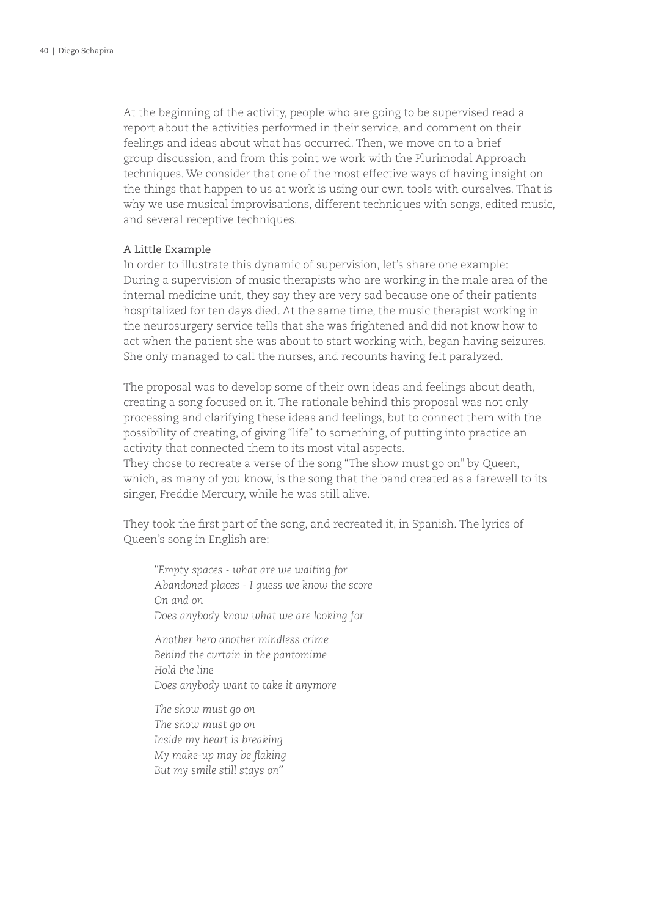At the beginning of the activity, people who are going to be supervised read a report about the activities performed in their service, and comment on their feelings and ideas about what has occurred. Then, we move on to a brief group discussion, and from this point we work with the Plurimodal Approach techniques. We consider that one of the most effective ways of having insight on the things that happen to us at work is using our own tools with ourselves. That is why we use musical improvisations, different techniques with songs, edited music, and several receptive techniques.

#### A Little Example

In order to illustrate this dynamic of supervision, let's share one example: During a supervision of music therapists who are working in the male area of the internal medicine unit, they say they are very sad because one of their patients hospitalized for ten days died. At the same time, the music therapist working in the neurosurgery service tells that she was frightened and did not know how to act when the patient she was about to start working with, began having seizures. She only managed to call the nurses, and recounts having felt paralyzed.

The proposal was to develop some of their own ideas and feelings about death, creating a song focused on it. The rationale behind this proposal was not only processing and clarifying these ideas and feelings, but to connect them with the possibility of creating, of giving "life" to something, of putting into practice an activity that connected them to its most vital aspects.

They chose to recreate a verse of the song "The show must go on" by Queen, which, as many of you know, is the song that the band created as a farewell to its singer, Freddie Mercury, while he was still alive.

They took the first part of the song, and recreated it, in Spanish. The lyrics of Queen's song in English are:

*K*Empty spaces - what are we waiting for Abandoned places - I quess we know the score On and on *Poes anybody know what we are looking for* 

Another hero another mindless crime Behind the curtain in the pantomime Hold the line *Poes anybody want to take it anymore* 

The show must go on The show must go on Inside my heart is breaking *My* make-up may be flaking But my smile still stays on"